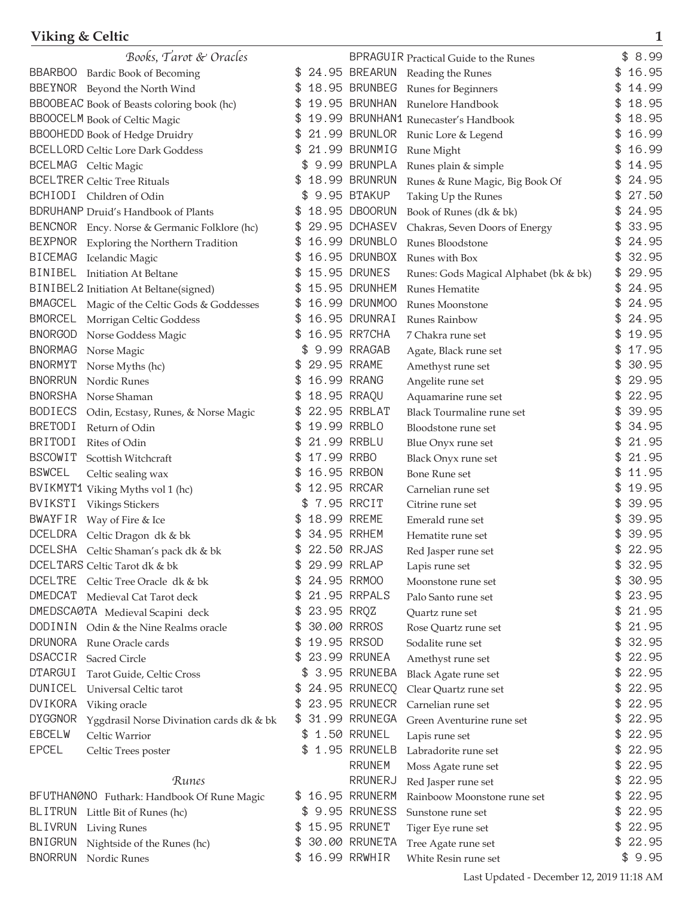## **Viking & Celtic 1**

|                | Books, Tarot & Oracles                       |     |             |                 | <b>BPRAGUIR Practical Guide to the Runes</b> | \$<br>8.99  |
|----------------|----------------------------------------------|-----|-------------|-----------------|----------------------------------------------|-------------|
| BBARB00        | Bardic Book of Becoming                      |     |             | 24.95 BREARUN   | Reading the Runes                            | 16.95       |
|                | BBEYNOR Beyond the North Wind                |     |             | 18.95 BRUNBEG   | Runes for Beginners                          | 14.99       |
|                | BBOOBEAC Book of Beasts coloring book (hc)   | \$  |             | 19.95 BRUNHAN   | Runelore Handbook                            | 18.95       |
|                | <b>BBOOCELM</b> Book of Celtic Magic         |     |             |                 | 19.99 BRUNHAN1 Runecaster's Handbook         | 18.95       |
|                | <b>BBOOHEDD</b> Book of Hedge Druidry        |     |             | 21.99 BRUNLOR   | Runic Lore & Legend                          | 16.99       |
|                | <b>BCELLORD Celtic Lore Dark Goddess</b>     |     |             | 21.99 BRUNMIG   | Rune Might                                   | 16.99       |
|                | BCELMAG Celtic Magic                         |     |             | 9.99 BRUNPLA    | Runes plain & simple                         | 14.95       |
|                | <b>BCELTRER Celtic Tree Rituals</b>          |     |             | 18.99 BRUNRUN   | Runes & Rune Magic, Big Book Of              | 24.95       |
|                | BCHIODI Children of Odin                     |     |             | 9.95 BTAKUP     | Taking Up the Runes                          | 27.50       |
|                | <b>BDRUHANP</b> Druid's Handbook of Plants   | \$  |             | 18.95 DBOORUN   | Book of Runes (dk & bk)                      | \$<br>24.95 |
|                | BENCNOR Ency. Norse & Germanic Folklore (hc) |     |             | 29.95 DCHASEV   | Chakras, Seven Doors of Energy               | 33.95       |
| <b>BEXPNOR</b> |                                              | \$  |             | 16.99 DRUNBLO   | Runes Bloodstone                             | 24.95       |
| <b>BICEMAG</b> | Exploring the Northern Tradition             |     |             | 16.95 DRUNBOX   |                                              | 32.95       |
| BINIBEL        | Icelandic Magic                              |     |             | 15.95 DRUNES    | Runes with Box                               | 29.95       |
|                | <b>Initiation At Beltane</b>                 |     |             | 15.95 DRUNHEM   | Runes: Gods Magical Alphabet (bk & bk)       | 24.95       |
|                | BINIBEL2 Initiation At Beltane(signed)       |     |             |                 | Runes Hematite                               |             |
| <b>BMAGCEL</b> | Magic of the Celtic Gods & Goddesses         |     |             | 16.99 DRUNM00   | Runes Moonstone                              | 24.95       |
| <b>BMORCEL</b> | Morrigan Celtic Goddess                      |     |             | 16.95 DRUNRAI   | Runes Rainbow                                | 24.95       |
| <b>BNORGOD</b> | Norse Goddess Magic                          | ß.  |             | 16.95 RR7CHA    | 7 Chakra rune set                            | 19.95       |
| <b>BNORMAG</b> | Norse Magic                                  |     |             | 9.99 RRAGAB     | Agate, Black rune set                        | \$<br>17.95 |
| <b>BNORMYT</b> | Norse Myths (hc)                             |     |             | 29.95 RRAME     | Amethyst rune set                            | 30.95       |
| <b>BNORRUN</b> | Nordic Runes                                 |     |             | 16.99 RRANG     | Angelite rune set                            | 29.95       |
| <b>BNORSHA</b> | Norse Shaman                                 |     | 18.95 RRAQU |                 | Aquamarine rune set                          | 22.95       |
| <b>BODIECS</b> | Odin, Ecstasy, Runes, & Norse Magic          |     |             | 22.95 RRBLAT    | <b>Black Tourmaline rune set</b>             | 39.95       |
| <b>BRETODI</b> | Return of Odin                               |     |             | 19.99 RRBLO     | Bloodstone rune set                          | 34.95       |
| <b>BRITODI</b> | Rites of Odin                                |     |             | 21.99 RRBLU     | Blue Onyx rune set                           | \$<br>21.95 |
| <b>BSCOWIT</b> | Scottish Witchcraft                          |     | 17.99 RRBO  |                 | Black Onyx rune set                          | 21.95       |
| <b>BSWCEL</b>  | Celtic sealing wax                           |     |             | 16.95 RRBON     | <b>Bone Rune set</b>                         | 11.95       |
|                | BVIKMYT1 Viking Myths vol 1 (hc)             |     | 12.95 RRCAR |                 | Carnelian rune set                           | 19.95       |
| BVIKSTI        | <b>Vikings Stickers</b>                      |     |             | 7.95 RRCIT      | Citrine rune set                             | 39.95       |
| <b>BWAYFIR</b> | Way of Fire & Ice                            |     | 18.99 RREME |                 | Emerald rune set                             | 39.95       |
| <b>DCELDRA</b> | Celtic Dragon dk & bk                        |     | 34.95 RRHEM |                 | Hematite rune set                            | 39.95       |
| <b>DCELSHA</b> | Celtic Shaman's pack dk & bk                 |     | 22.50 RRJAS |                 | Red Jasper rune set                          | \$<br>22.95 |
|                | DCELTARS Celtic Tarot dk & bk                | \$  |             | 29.99 RRLAP     | Lapis rune set                               | \$<br>32.95 |
| <b>DCELTRE</b> | Celtic Tree Oracle dk & bk                   |     | 24.95 RRM00 |                 | Moonstone rune set                           | \$<br>30.95 |
| DMEDCAT        | Medieval Cat Tarot deck                      | \$  |             | 21.95 RRPALS    | Palo Santo rune set                          | \$<br>23.95 |
|                | DMEDSCA0TA Medieval Scapini deck             | \$  | 23.95 RRQZ  |                 | Quartz rune set                              | \$<br>21.95 |
|                | DODININ Odin & the Nine Realms oracle        | \$  |             | 30.00 RRROS     | Rose Quartz rune set                         | \$<br>21.95 |
| <b>DRUNORA</b> | Rune Oracle cards                            | \$  |             | 19.95 RRSOD     |                                              | \$<br>32.95 |
| <b>DSACCIR</b> |                                              | \$  |             | 23.99 RRUNEA    | Sodalite rune set                            | \$<br>22.95 |
| <b>DTARGUI</b> | Sacred Circle                                |     |             | 3.95 RRUNEBA    | Amethyst rune set                            | \$<br>22.95 |
|                | Tarot Guide, Celtic Cross                    |     |             |                 | Black Agate rune set                         |             |
| <b>DUNICEL</b> | Universal Celtic tarot                       |     |             | 24.95 RRUNECQ   | Clear Quartz rune set                        | \$<br>22.95 |
| <b>DVIKORA</b> | Viking oracle                                |     |             | 23.95 RRUNECR   | Carnelian rune set                           | \$<br>22.95 |
| <b>DYGGNOR</b> | Yggdrasil Norse Divination cards dk & bk     |     |             | 31.99 RRUNEGA   | Green Aventurine rune set                    | \$<br>22.95 |
| <b>EBCELW</b>  | Celtic Warrior                               |     | \$          | 1.50 RRUNEL     | Lapis rune set                               | \$<br>22.95 |
| <b>EPCEL</b>   | Celtic Trees poster                          |     |             | 1.95 RRUNELB    | Labradorite rune set                         | \$<br>22.95 |
|                |                                              |     |             | <b>RRUNEM</b>   | Moss Agate rune set                          | \$<br>22.95 |
|                | Runes                                        |     |             | RRUNERJ         | Red Jasper rune set                          | \$<br>22.95 |
|                | BFUTHANØNO Futhark: Handbook Of Rune Magic   | \$. |             | 16.95 RRUNERM   | Rainboow Moonstone rune set                  | \$<br>22.95 |
| <b>BLITRUN</b> | Little Bit of Runes (hc)                     |     |             | \$ 9.95 RRUNESS | Sunstone rune set                            | \$<br>22.95 |
| <b>BLIVRUN</b> | <b>Living Runes</b>                          |     |             | 15.95 RRUNET    | Tiger Eye rune set                           | \$<br>22.95 |
| <b>BNIGRUN</b> | Nightside of the Runes (hc)                  |     |             | 30.00 RRUNETA   | Tree Agate rune set                          | \$<br>22.95 |
| <b>BNORRUN</b> | Nordic Runes                                 | \$  |             | 16.99 RRWHIR    | White Resin rune set                         | \$9.95      |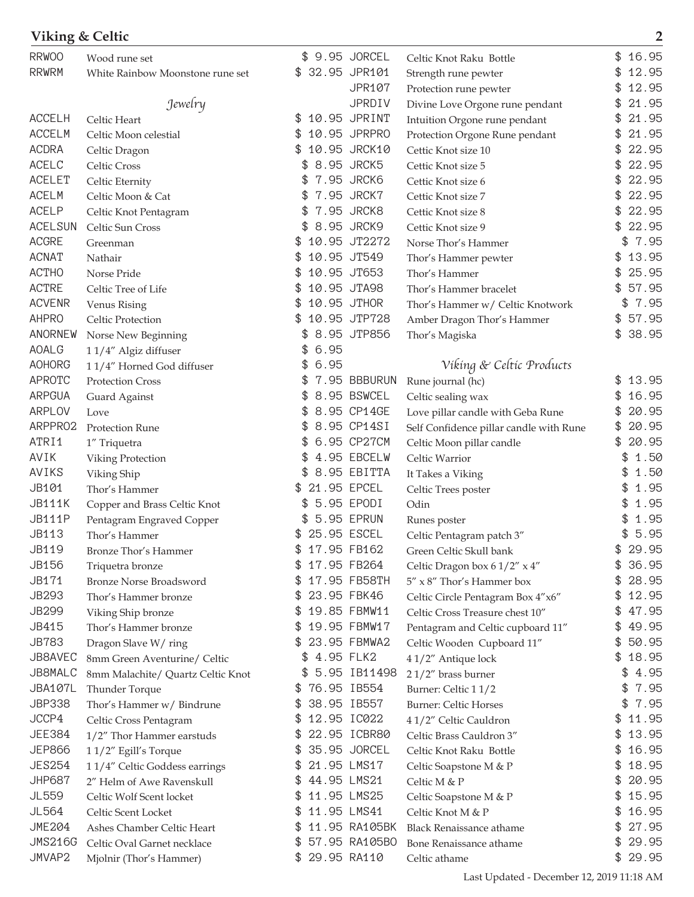| Viking & Celtic |                                   |                   |                |                                         | $\overline{2}$ |
|-----------------|-----------------------------------|-------------------|----------------|-----------------------------------------|----------------|
| <b>RRWOO</b>    | Wood rune set                     |                   | \$ 9.95 JORCEL | Celtic Knot Raku Bottle                 | \$16.95        |
| <b>RRWRM</b>    | White Rainbow Moonstone rune set  | \$                | 32.95 JPR101   | Strength rune pewter                    | 12.95<br>\$    |
|                 |                                   |                   | <b>JPR107</b>  | Protection rune pewter                  | 12.95          |
|                 | Jewelry                           |                   | <b>JPRDIV</b>  | Divine Love Orgone rune pendant         | 21.95<br>\$    |
| <b>ACCELH</b>   | Celtic Heart                      |                   | 10.95 JPRINT   | Intuition Orgone rune pendant           | 21.95<br>\$    |
| <b>ACCELM</b>   | Celtic Moon celestial             | S                 | 10.95 JPRPRO   | Protection Orgone Rune pendant          | 21.95<br>\$    |
| <b>ACDRA</b>    | Celtic Dragon                     |                   | 10.95 JRCK10   | Cettic Knot size 10                     | 22.95          |
| ACELC           | Celtic Cross                      |                   | 8.95 JRCK5     | Cettic Knot size 5                      | 22.95          |
| <b>ACELET</b>   | Celtic Eternity                   |                   | 7.95 JRCK6     | Cettic Knot size 6                      | 22.95<br>\$    |
| <b>ACELM</b>    | Celtic Moon & Cat                 |                   | 7.95 JRCK7     | Cettic Knot size 7                      | 22.95          |
| <b>ACELP</b>    | Celtic Knot Pentagram             |                   | 7.95 JRCK8     | Cettic Knot size 8                      | 22.95          |
| <b>ACELSUN</b>  | Celtic Sun Cross                  |                   | 8.95 JRCK9     | Cettic Knot size 9                      | 22.95          |
| <b>ACGRE</b>    | Greenman                          |                   | 10.95 JT2272   | Norse Thor's Hammer                     | 7.95<br>\$     |
| <b>ACNAT</b>    | Nathair                           |                   | 10.95 JT549    | Thor's Hammer pewter                    | 13.95<br>\$    |
| <b>ACTHO</b>    | Norse Pride                       |                   | 10.95 JT653    | Thor's Hammer                           | 25.95<br>\$    |
| <b>ACTRE</b>    | Celtic Tree of Life               |                   | 10.95 JTA98    | Thor's Hammer bracelet                  | 57.95          |
| <b>ACVENR</b>   | Venus Rising                      |                   | 10.95 JTHOR    | Thor's Hammer w/ Celtic Knotwork        | 7.95<br>\$     |
| <b>AHPRO</b>    | Celtic Protection                 |                   | 10.95 JTP728   | Amber Dragon Thor's Hammer              | 57.95<br>\$    |
| ANORNEW         | Norse New Beginning               |                   | 8.95 JTP856    | Thor's Magiska                          | \$<br>38.95    |
| <b>AOALG</b>    | 11/4" Algiz diffuser              | 6.95              |                |                                         |                |
| <b>AOHORG</b>   | 11/4" Horned God diffuser         | 6.95<br>\$        |                | Víking & Celtic Products                |                |
| <b>APROTC</b>   | Protection Cross                  |                   | 7.95 BBBURUN   | Rune journal (hc)                       | 13.95<br>\$    |
| <b>ARPGUA</b>   | Guard Against                     | \$                | 8.95 BSWCEL    | Celtic sealing wax                      | 16.95          |
| <b>ARPLOV</b>   | Love                              |                   | 8.95 CP14GE    | Love pillar candle with Geba Rune       | 20.95<br>\$    |
| ARPPRO2         | Protection Rune                   | \$                | 8.95 CP14SI    | Self Confidence pillar candle with Rune | 20.95<br>\$    |
| ATRI1           | 1" Triquetra                      |                   | 6.95 CP27CM    | Celtic Moon pillar candle               | 20.95          |
| AVIK            | Viking Protection                 |                   | 4.95 EBCELW    | Celtic Warrior                          | 1.50           |
| AVIKS           | Viking Ship                       | \$                | 8.95 EBITTA    | It Takes a Viking                       | 1.50<br>\$     |
| JB101           | Thor's Hammer                     |                   | 21.95 EPCEL    | Celtic Trees poster                     | 1.95<br>\$     |
| <b>JB111K</b>   | Copper and Brass Celtic Knot      |                   | 5.95 EPODI     | Odin                                    | 1.95           |
| <b>JB111P</b>   | Pentagram Engraved Copper         |                   | 5.95 EPRUN     | Runes poster                            | 1.95           |
| JB113           | Thor's Hammer                     | \$<br>25.95 ESCEL |                | Celtic Pentagram patch 3"               | 5.95<br>\$     |
| <b>JB119</b>    | Bronze Thor's Hammer              |                   | 17.95 FB162    | Green Celtic Skull bank                 | 29.95<br>\$    |
| JB156           | Triquetra bronze                  | \$                | 17.95 FB264    | Celtic Dragon box 6 1/2" x 4"           | 36.95<br>\$    |
| JB171           | <b>Bronze Norse Broadsword</b>    |                   | 17.95 FB58TH   | $5''$ x $8''$ Thor's Hammer box         | 28.95<br>\$    |
| JB293           | Thor's Hammer bronze              |                   | 23.95 FBK46    | Celtic Circle Pentagram Box 4"x6"       | 12.95<br>\$    |
| <b>JB299</b>    | Viking Ship bronze                |                   | 19.85 FBMW11   | Celtic Cross Treasure chest 10"         | 47.95<br>\$    |
| JB415           | Thor's Hammer bronze              |                   | 19.95 FBMW17   | Pentagram and Celtic cupboard 11"       | 49.95          |
| <b>JB783</b>    | Dragon Slave W/ring               |                   | 23.95 FBMWA2   | Celtic Wooden Cupboard 11"              | 50.95<br>\$    |
| JB8AVEC         | 8mm Green Aventurine/ Celtic      | 4.95 FLK2<br>\$   |                | 41/2" Antique lock                      | 18.95<br>\$    |
| JB8MALC         | 8mm Malachite/ Quartz Celtic Knot |                   | 5.95 IB11498   | $21/2$ " brass burner                   | \$<br>4.95     |
| <b>JBA107L</b>  | Thunder Torque                    | \$                | 76.95 IB554    | Burner: Celtic 11/2                     | \$<br>7.95     |
| <b>JBP338</b>   | Thor's Hammer w/ Bindrune         |                   | 38.95 IB557    | Burner: Celtic Horses                   | 7.95<br>\$     |
| JCCP4           | Celtic Cross Pentagram            |                   | 12.95 IC022    | 41/2" Celtic Cauldron                   | 11.95<br>\$    |
| <b>JEE384</b>   | 1/2" Thor Hammer earstuds         |                   | 22.95 ICBR80   | Celtic Brass Cauldron 3"                | 13.95<br>\$    |
| <b>JEP866</b>   | 11/2" Egill's Torque              |                   | 35.95 JORCEL   | Celtic Knot Raku Bottle                 | 16.95<br>\$    |
| <b>JES254</b>   | 11/4" Celtic Goddess earrings     |                   | 21.95 LMS17    | Celtic Soapstone M & P                  | 18.95<br>\$    |
| <b>JHP687</b>   | 2" Helm of Awe Ravenskull         |                   | 44.95 LMS21    | Celtic M & P                            | 20.95<br>\$    |
| JL559           | Celtic Wolf Scent locket          | \$                | 11.95 LMS25    | Celtic Soapstone M & P                  | 15.95<br>\$    |
| JL564           | Celtic Scent Locket               |                   | 11.95 LMS41    | Celtic Knot M & P                       | 16.95<br>\$    |
| <b>JME204</b>   | Ashes Chamber Celtic Heart        |                   | 11.95 RA105BK  | <b>Black Renaissance athame</b>         | 27.95<br>\$    |
| <b>JMS216G</b>  | Celtic Oval Garnet necklace       |                   | 57.95 RA105BO  | Bone Renaissance athame                 | \$<br>29.95    |
| JMVAP2          | Mjolnir (Thor's Hammer)           | \$                | 29.95 RA110    | Celtic athame                           | \$29.95        |